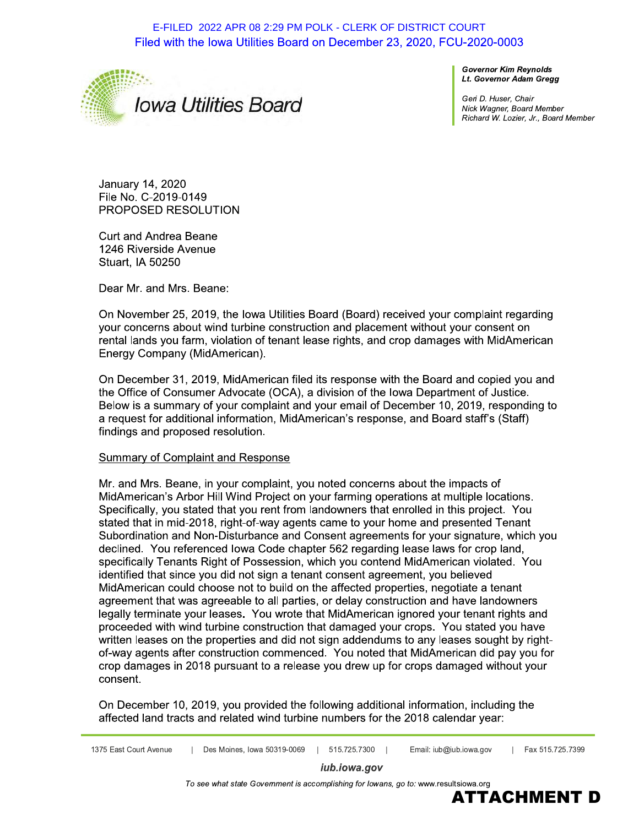E-FILED 2022 APR 08 2:29 PM POLK - CLERK OF DISTRICT COURT Filed with the Iowa Utilities Board on December 23, 2020, FCU-2020-0003



**Governor Kim Revnolds** Lt. Governor Adam Gregg

Geri D. Huser, Chair Nick Wagner, Board Member Richard W. Lozier, Jr., Board Member

January 14, 2020 File No. C-2019-0149 PROPOSED RESOLUTION

**Curt and Andrea Beane** 1246 Riverside Avenue Stuart, IA 50250

Dear Mr. and Mrs. Beane:

On November 25, 2019, the lowa Utilities Board (Board) received your complaint regarding your concerns about wind turbine construction and placement without your consent on rental lands you farm, violation of tenant lease rights, and crop damages with MidAmerican Energy Company (MidAmerican).

On December 31, 2019, MidAmerican filed its response with the Board and copied you and the Office of Consumer Advocate (OCA), a division of the Iowa Department of Justice. Below is a summary of your complaint and your email of December 10, 2019, responding to a request for additional information, MidAmerican's response, and Board staff's (Staff) findings and proposed resolution.

### Summary of Complaint and Response

Mr. and Mrs. Beane, in your complaint, you noted concerns about the impacts of MidAmerican's Arbor Hill Wind Project on your farming operations at multiple locations. Specifically, you stated that you rent from landowners that enrolled in this project. You stated that in mid-2018, right-of-way agents came to your home and presented Tenant Subordination and Non-Disturbance and Consent agreements for your signature, which you declined. You referenced lowa Code chapter 562 regarding lease laws for crop land, specifically Tenants Right of Possession, which you contend MidAmerican violated. You identified that since you did not sign a tenant consent agreement, you believed MidAmerican could choose not to build on the affected properties, negotiate a tenant agreement that was agreeable to all parties, or delay construction and have landowners legally terminate your leases. You wrote that MidAmerican ignored your tenant rights and proceeded with wind turbine construction that damaged your crops. You stated you have written leases on the properties and did not sign addendums to any leases sought by rightof-way agents after construction commenced. You noted that MidAmerican did pay you for crop damages in 2018 pursuant to a release you drew up for crops damaged without your consent.

On December 10, 2019, you provided the following additional information, including the affected land tracts and related wind turbine numbers for the 2018 calendar year:

iub.iowa.gov

To see what state Government is accomplishing for lowans, go to: www.resultsiowa.org

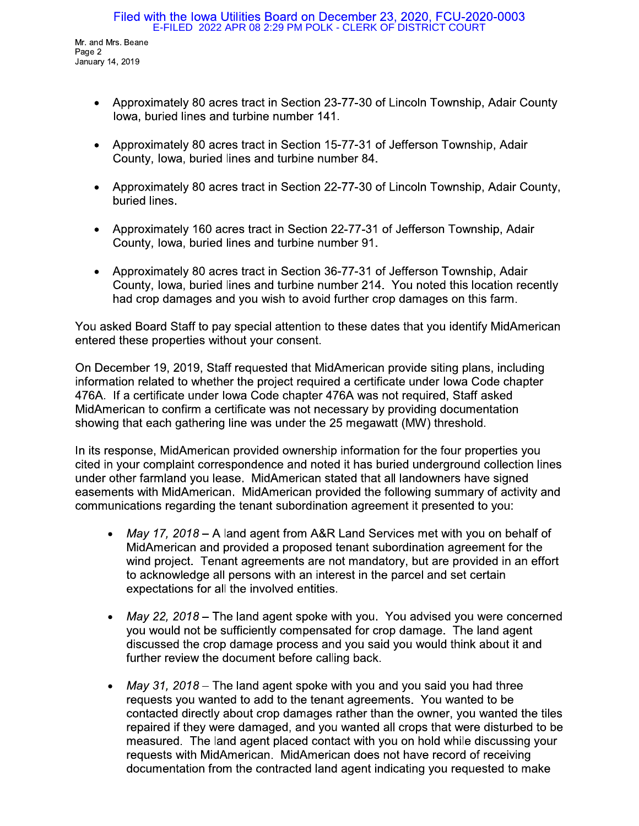- Approximately 80 acres tract in Section 23-77-30 of Lincoln Township, Adair County lowa, buried lines and turbine number 141.
- Approximately 80 acres tract in Section 15-77-31 of Jefferson Township, Adair County, Iowa, buried lines and turbine number 84.
- Approximately 80 acres tract in Section 22-77-30 of Lincoln Township, Adair County, buried lines.
- Approximately 160 acres tract in Section 22-77-31 of Jefferson Township, Adair County, Iowa, buried lines and turbine number 91.
- Approximately 80 acres tract in Section 36-77-31 of Jefferson Township, Adair County, Iowa, buried lines and turbine number 214. You noted this location recently had crop damages and you wish to avoid further crop damages on this farm.

You asked Board Staff to pay special attention to these dates that you identify MidAmerican entered these properties without your consent.

On December 19, 2019, Staff requested that MidAmerican provide siting plans, including information related to whether the project required a certificate under lowa Code chapter 476A. If a certificate under lowa Code chapter 476A was not required, Staff asked MidAmerican to confirm a certificate was not necessary by providing documentation showing that each gathering line was under the 25 megawatt (MW) threshold.

In its response, MidAmerican provided ownership information for the four properties you cited in your complaint correspondence and noted it has buried underground collection lines under other farmland you lease. MidAmerican stated that all landowners have signed easements with MidAmerican. MidAmerican provided the following summary of activity and communications regarding the tenant subordination agreement it presented to you:

- May 17, 2018 A land agent from A&R Land Services met with you on behalf of MidAmerican and provided a proposed tenant subordination agreement for the wind project. Tenant agreements are not mandatory, but are provided in an effort to acknowledge all persons with an interest in the parcel and set certain expectations for all the involved entities.
- May 22, 2018 The land agent spoke with you. You advised you were concerned you would not be sufficiently compensated for crop damage. The land agent discussed the crop damage process and you said you would think about it and further review the document before calling back.
- May 31, 2018 The land agent spoke with you and you said you had three requests you wanted to add to the tenant agreements. You wanted to be contacted directly about crop damages rather than the owner, you wanted the tiles repaired if they were damaged, and you wanted all crops that were disturbed to be measured. The land agent placed contact with you on hold while discussing your requests with MidAmerican. MidAmerican does not have record of receiving documentation from the contracted land agent indicating you requested to make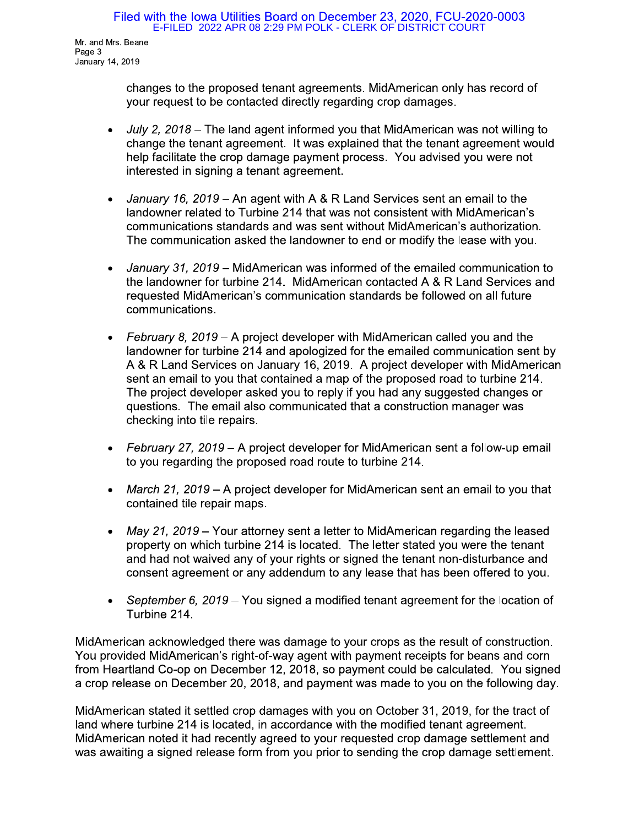# Filed with the lowa Utilities Board on December 23, 2020, FCU-2020-0003<br>E-FILED 2022 APR 08 2:29 PM POLK - CLERK OF DISTRICT COURT

Mr. and Mrs. Beane Page 3 January 14, 2019

> changes to the proposed tenant agreements. MidAmerican only has record of your request to be contacted directly regarding crop damages.

- Filed with the lowa Utilities<br>
E-FILED 2022 APR 08<br>
Mr. and Mrs. Beane<br>
January 14, 2019<br>
changes to the proposed<br>
your request to be contac<br>
 July 2, 2018 The land a<br>
change the tenant agreem<br>
help facilitate the crop land agent informed you that MidAmerican was not willing to change the tenant agreement. It was explained that the tenant agreement would nelp facilitate the crop damage payment process. You advised you were not interested in signing a tenant agreement. changes to the proposed tena<br>your request to be contacted<br>•  $July 2, 2018 - The land agent  
change the tenant agreement  
help facilitate the crop damage  
interested in signing a tenant  
interested in signing a tenant  
andower related to Turbine  
communication standards ar  
The communication asked the  
binumunication asked the  
landowner for turbine 214  
requested MidAmerican's con  
communications.$ 
	- $\overline{p}$  mt with A & R Land Services sent an email to the i<br>L  $\alpha$  andowner related to Turbine 214 that was not consistent with MidAmerican s communications standards and was sent without MidAmerican's authorization.<br>— The communication asked the landowner to end or modify the lease with you.
	- rican was informed of the emailed communication to the landowner for turbine 214. MidAmerican contacted A  $\alpha$  R Land Services and requested MidAmerican's communication standards be followed on all future communications.
	- help facilitate the crop damagemiterested in signing a tenant<br>
	 January 16, 2019 An agent<br>
	handowner related to Turbine<br>
	communications standards are<br>
	The communication asked the<br>
	 January 31, 2019 MidAmeri<br>
	the land communications standards and<br>The communication asked the<br>
	• *January 31, 2019* – MidAmeric<br>
	the landowner for turbine 214.<br>
	requested MidAmerican's com<br>
	communications.<br>
	• *February 8, 2019* – A project d<br>
	landowner for t oject developer with MidAmerican called you and the  $\mathbb{R}^2$  $\frac{1}{2}$  and  $\frac{1}{2}$  and  $\frac{1}{2}$  and  $\frac{1}{2}$  and  $\frac{1}{2}$  and  $\frac{1}{2}$  and  $\frac{1}{2}$  and  $\frac{1}{2}$  and  $\frac{1}{2}$  and  $\frac{1}{2}$  and  $\frac{1}{2}$  and  $\frac{1}{2}$  and  $\frac{1}{2}$  and  $\frac{1}{2}$  and  $\frac{1}{2}$  and  $\frac{1}{2}$  a A & R Land Services on January 16, 2019. A project developer with MidAmerican sent an email to you that contained a map of the proposed road to turbine 214.<br>— The project developer asked you to reply if you had any suggested changes or questions. The email also communicated that a construction manager was checking into tile repairs. • February 8, 2019 – A project d<br>
	landowner for turbine 214 and<br>
	A & R Land Services on Janua<br>
	sent an email to you that conta<br>
	The project developer asked y<br>
	questions. The email also com<br>
	checking into tile repairs.<br>
	•
		- oject developer for MidAmerican sent a follow-up email to you regarding the proposed road route to turbine 214.
		- *March 21, 2019* A project developer for MidAmerican sent an email to you that contained tile repair maps.
- checking into tile repairs.<br>
 February 27, 2019 A proto you regarding the proporto you regarding the proporto of the proportation of the May 21, 2019 Your atto property on which turbine and had not waived any of cons attorney sent a letter to MidAmerican regarding the leased property on which turbine 214 is located. The letter stated you were the tenant and had not walved any of your rights or signed the tenant non-disturbance and consent agreement or any addendum to any lease that has been offered to you.
	- September 6, 2019 You signed a modified tenant agreement for the location of i urbine 214.

 $\mathbb{R}$ MidAmerican acknowledged there was damage to your crops as the result of construction. You provided MidAmerican's right-of-way agent with payment receipts for beans and corn from Heartland Co-op on December 12, 2018, so payment could be calculated. You signed a crop release on December 20, 2018, and payment was made to you on the following day.

 $\mathbb{R}$ MidAmerican stated it settled crop damages with you on October 31, 2019, for the tract of land where turbine 214 is located, in accordance with the modified tenant agreement. MidAmerican noted it had recently agreed to your requested crop damage settlement and was awaiting a signed release form from you prior to sending the crop damage settlement.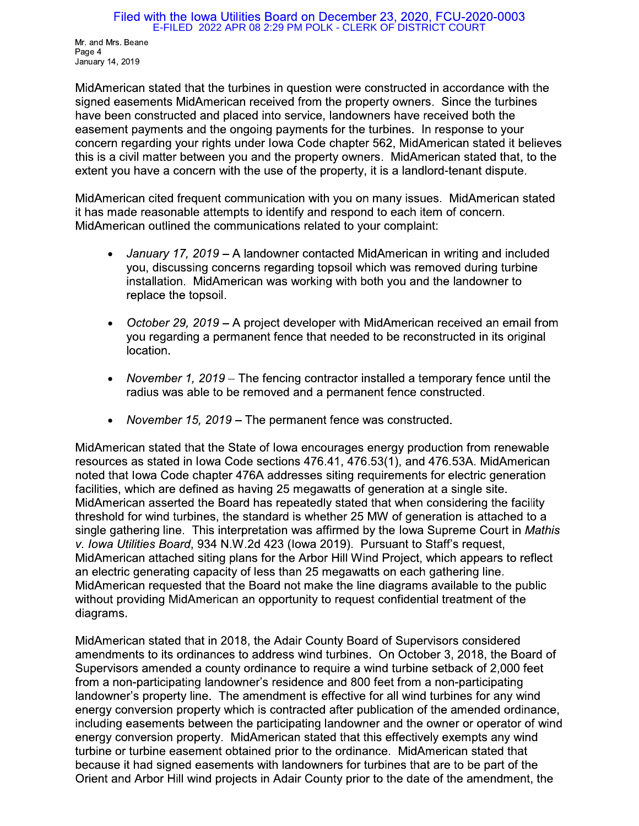#### Filed with the Iowa Utilities Board on December 23, 2020, FCU-2020-0003 E-FILED 2022 APR 08 2:29 PM POLK - CLERK OF DISTRICT COURT

Mr. and Mrs. Beane Page 4 January 14, 2019

MidAmerican stated that the turbines in question were constructed in accordance with the signed easements MidAmerican received from the property owners. Since the turbines have been constructed and placed into service, landowners have received both the easement payments and the ongoing payments for the turbines. In response to your concern regarding your rights under lowa Code chapter 562, MidAmerican stated it believes this is a civil matter between you and the property owners. MidAmerican stated that, to the extent you have a concern with the use of the property, it is a landlord-tenant dispute.

MidAmerican cited frequent communication with you on many issues. MidAmerican stated it has made reasonable attempts to identify and respond to each item of concern. MidAmerican outlined the communications related to your complaint:

- January 17, 2019 A landowner contacted MidAmerican in writing and included you, discussing concerns regarding topsoil which was removed during turbine installation. MidAmerican was working with both you and the landowner to replace the topsoil.
- October 29, 2019 A project developer with MidAmerican received an email from you regarding a permanent fence that needed to be reconstructed in its original location.
- November 1, 2019 The fencing contractor installed a temporary fence until the radius was able to be removed and a permanent fence constructed.
- November 15, 2019 The permanent fence was constructed.  $\bullet$

MidAmerican stated that the State of lowa encourages energy production from renewable resources as stated in Iowa Code sections 476.41, 476.53(1), and 476.53A. MidAmerican noted that lowa Code chapter 476A addresses siting requirements for electric generation facilities, which are defined as having 25 megawatts of generation at a single site. MidAmerican asserted the Board has repeatedly stated that when considering the facility threshold for wind turbines, the standard is whether 25 MW of generation is attached to a single gathering line. This interpretation was affirmed by the lowa Supreme Court in Mathis v. Iowa Utilities Board, 934 N.W.2d 423 (Iowa 2019). Pursuant to Staff's request, MidAmerican attached siting plans for the Arbor Hill Wind Project, which appears to reflect an electric generating capacity of less than 25 megawatts on each gathering line. MidAmerican requested that the Board not make the line diagrams available to the public without providing MidAmerican an opportunity to request confidential treatment of the diagrams.

MidAmerican stated that in 2018, the Adair County Board of Supervisors considered amendments to its ordinances to address wind turbines. On October 3, 2018, the Board of Supervisors amended a county ordinance to require a wind turbine setback of 2,000 feet from a non-participating landowner's residence and 800 feet from a non-participating landowner's property line. The amendment is effective for all wind turbines for any wind energy conversion property which is contracted after publication of the amended ordinance, including easements between the participating landowner and the owner or operator of wind energy conversion property. MidAmerican stated that this effectively exempts any wind turbine or turbine easement obtained prior to the ordinance. MidAmerican stated that because it had signed easements with landowners for turbines that are to be part of the Orient and Arbor Hill wind projects in Adair County prior to the date of the amendment, the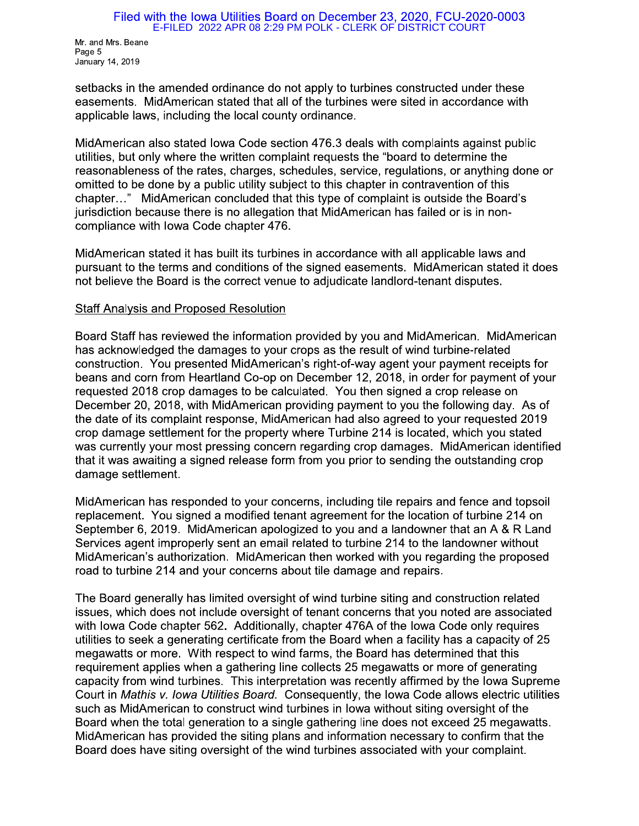#### Filed with the Iowa Utilities Board on December 23, 2020, FCU-2020-0003 E-FILED 2022 APR 08 2:29 PM POLK - CLERK OF DISTRICT COURT

Mr. and Mrs. Beane Page 5 January 14, 2019

setbacks in the amended ordinance do not apply to turbines constructed under these easements. MidAmerican stated that all of the turbines were sited in accordance with applicable laws, including the local county ordinance.

MidAmerican also stated lowa Code section 476.3 deals with complaints against public utilities, but only where the written complaint requests the "board to determine the reasonableness of the rates, charges, schedules, service, regulations, or anything done or omitted to be done by a public utility subject to this chapter in contravention of this chapter..." MidAmerican concluded that this type of complaint is outside the Board's jurisdiction because there is no allegation that MidAmerican has failed or is in noncompliance with Iowa Code chapter 476.

MidAmerican stated it has built its turbines in accordance with all applicable laws and pursuant to the terms and conditions of the signed easements. MidAmerican stated it does not believe the Board is the correct venue to adjudicate landlord-tenant disputes.

## **Staff Analysis and Proposed Resolution**

Board Staff has reviewed the information provided by you and MidAmerican. MidAmerican has acknowledged the damages to your crops as the result of wind turbine-related construction. You presented MidAmerican's right-of-way agent your payment receipts for beans and corn from Heartland Co-op on December 12, 2018, in order for payment of your requested 2018 crop damages to be calculated. You then signed a crop release on December 20, 2018, with MidAmerican providing payment to you the following day. As of the date of its complaint response, MidAmerican had also agreed to your requested 2019 crop damage settlement for the property where Turbine 214 is located, which you stated was currently your most pressing concern regarding crop damages. MidAmerican identified that it was awaiting a signed release form from you prior to sending the outstanding crop damage settlement.

MidAmerican has responded to your concerns, including tile repairs and fence and topsoil replacement. You signed a modified tenant agreement for the location of turbine 214 on September 6, 2019. MidAmerican apologized to you and a landowner that an A & R Land Services agent improperly sent an email related to turbine 214 to the landowner without MidAmerican's authorization. MidAmerican then worked with you regarding the proposed road to turbine 214 and your concerns about tile damage and repairs.

The Board generally has limited oversight of wind turbine siting and construction related issues, which does not include oversight of tenant concerns that you noted are associated with lowa Code chapter 562. Additionally, chapter 476A of the lowa Code only requires utilities to seek a generating certificate from the Board when a facility has a capacity of 25 megawatts or more. With respect to wind farms, the Board has determined that this requirement applies when a gathering line collects 25 megawatts or more of generating capacity from wind turbines. This interpretation was recently affirmed by the lowa Supreme Court in Mathis v. Iowa Utilities Board. Consequently, the Iowa Code allows electric utilities such as MidAmerican to construct wind turbines in lowa without siting oversight of the Board when the total generation to a single gathering line does not exceed 25 megawatts. MidAmerican has provided the siting plans and information necessary to confirm that the Board does have siting oversight of the wind turbines associated with your complaint.